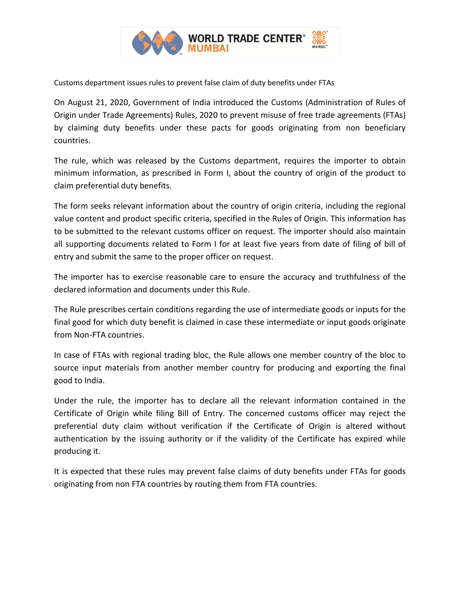

Customs department issues rules to prevent false claim of duty benefits under FTAs

On August 21, 2020, Government of India introduced the Customs (Administration of Rules of Origin under Trade Agreements) Rules, 2020 to prevent misuse of free trade agreements (FTAs) by claiming duty benefits under these pacts for goods originating from non beneficiary countries.

The rule, which was released by the Customs department, requires the importer to obtain minimum information, as prescribed in Form I, about the country of origin of the product to claim preferential duty benefits.

The form seeks relevant information about the country of origin criteria, including the regional value content and product specific criteria, specified in the Rules of Origin. This information has to be submitted to the relevant customs officer on request. The importer should also maintain all supporting documents related to Form I for at least five years from date of filing of bill of entry and submit the same to the proper officer on request.

The importer has to exercise reasonable care to ensure the accuracy and truthfulness of the declared information and documents under this Rule.

The Rule prescribes certain conditions regarding the use of intermediate goods or inputs for the final good for which duty benefit is claimed in case these intermediate or input goods originate from Non-FTA countries.

In case of FTAs with regional trading bloc, the Rule allows one member country of the bloc to source input materials from another member country for producing and exporting the final good to India.

Under the rule, the importer has to declare all the relevant information contained in the Certificate of Origin while filing Bill of Entry. The concerned customs officer may reject the preferential duty claim without verification if the Certificate of Origin is altered without authentication by the issuing authority or if the validity of the Certificate has expired while producing it.

It is expected that these rules may prevent false claims of duty benefits under FTAs for goods originating from non FTA countries by routing them from FTA countries.